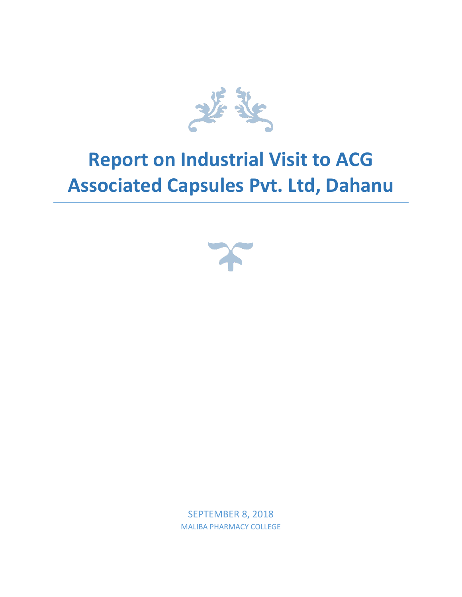

## **Report on Industrial Visit to ACG Associated Capsules Pvt. Ltd, Dahanu**



SEPTEMBER 8, 2018 MALIBA PHARMACY COLLEGE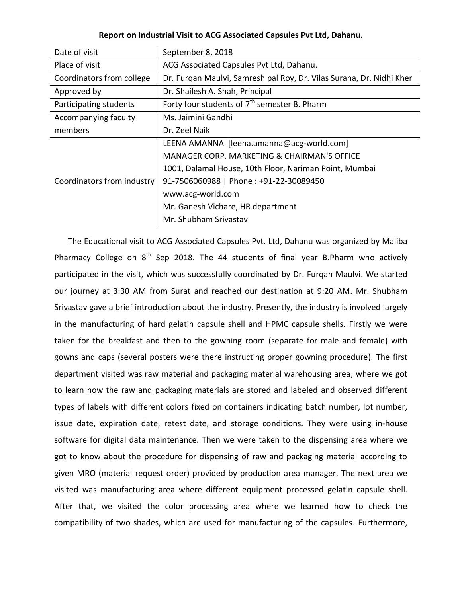| Date of visit              | September 8, 2018                                                    |
|----------------------------|----------------------------------------------------------------------|
| Place of visit             | ACG Associated Capsules Pvt Ltd, Dahanu.                             |
| Coordinators from college  | Dr. Furqan Maulvi, Samresh pal Roy, Dr. Vilas Surana, Dr. Nidhi Kher |
| Approved by                | Dr. Shailesh A. Shah, Principal                                      |
| Participating students     | Forty four students of $7th$ semester B. Pharm                       |
| Accompanying faculty       | Ms. Jaimini Gandhi                                                   |
| members                    | Dr. Zeel Naik                                                        |
| Coordinators from industry | LEENA AMANNA [leena.amanna@acg-world.com]                            |
|                            | MANAGER CORP. MARKETING & CHAIRMAN'S OFFICE                          |
|                            | 1001, Dalamal House, 10th Floor, Nariman Point, Mumbai               |
|                            | 91-7506060988   Phone: +91-22-30089450                               |
|                            | www.acg-world.com                                                    |
|                            | Mr. Ganesh Vichare, HR department                                    |
|                            | Mr. Shubham Srivastav                                                |

## **Report on Industrial Visit t[o ACG Associated Capsules Pvt Ltd,](https://www.justdial.com/Mumbai/Acg-Associated-Capsules-Pvt-Ltd-Post-Ashagadh-Dahanu-Road/022P1237524525M7P1P7_BZDET) Dahanu.**

The Educational visit to ACG Associated Capsules Pvt. Ltd, Dahanu was organized by Maliba Pharmacy College on  $8^{th}$  Sep 2018. The 44 students of final year B.Pharm who actively participated in the visit, which was successfully coordinated by Dr. Furqan Maulvi. We started our journey at 3:30 AM from Surat and reached our destination at 9:20 AM. Mr. Shubham Srivastav gave a brief introduction about the industry. Presently, the industry is involved largely in the manufacturing of hard gelatin capsule shell and HPMC capsule shells. Firstly we were taken for the breakfast and then to the gowning room (separate for male and female) with gowns and caps (several posters were there instructing proper gowning procedure). The first department visited was raw material and packaging material warehousing area, where we got to learn how the raw and packaging materials are stored and labeled and observed different types of labels with different colors fixed on containers indicating batch number, lot number, issue date, expiration date, retest date, and storage conditions. They were using in-house software for digital data maintenance. Then we were taken to the dispensing area where we got to know about the procedure for dispensing of raw and packaging material according to given MRO (material request order) provided by production area manager. The next area we visited was manufacturing area where different equipment processed gelatin capsule shell. After that, we visited the color processing area where we learned how to check the compatibility of two shades, which are used for manufacturing of the capsules. Furthermore,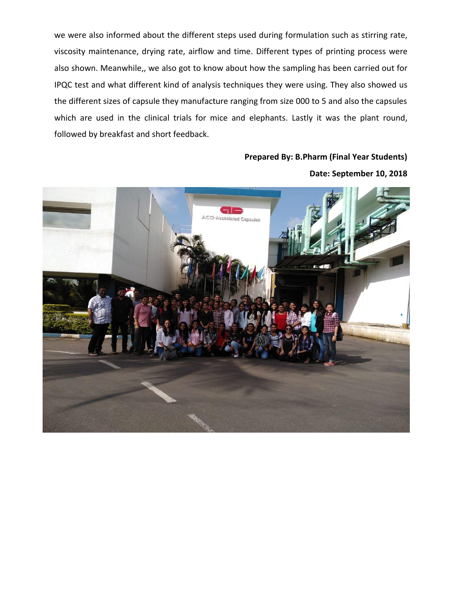we were also informed about the different steps used during formulation such as stirring rate, viscosity maintenance, drying rate, airflow and time. Different types of printing process were also shown. Meanwhile,, we also got to know about how the sampling has been carried out for IPQC test and what different kind of analysis techniques they were using. They also showed us the different sizes of capsule they manufacture ranging from size 000 to 5 and also the capsules which are used in the clinical trials for mice and elephants. Lastly it was the plant round, followed by breakfast and short feedback.

## **Prepared By: B.Pharm (Final Year Students) Date: September 10, 2018**